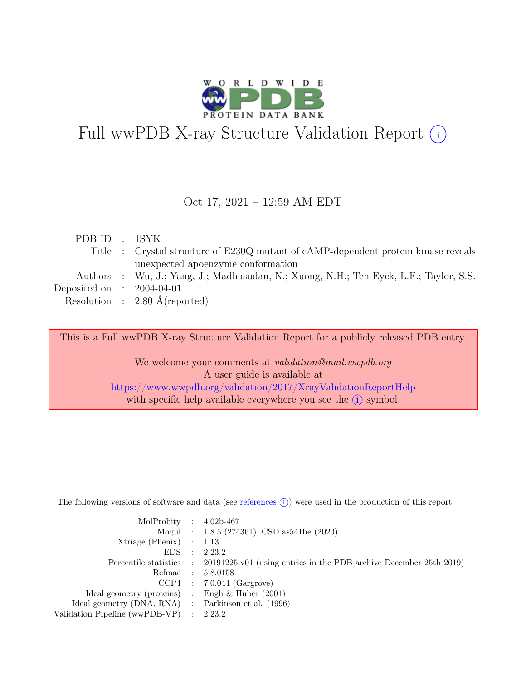

# Full wwPDB X-ray Structure Validation Report  $(i)$

#### Oct 17, 2021 – 12:59 AM EDT

| PDB ID : 1SYK               |                                                                                       |
|-----------------------------|---------------------------------------------------------------------------------------|
|                             | Title : Crystal structure of E230Q mutant of cAMP-dependent protein kinase reveals    |
|                             | unexpected apoenzyme conformation                                                     |
|                             | Authors : Wu, J.; Yang, J.; Madhusudan, N.; Xuong, N.H.; Ten Eyck, L.F.; Taylor, S.S. |
| Deposited on : $2004-04-01$ |                                                                                       |
|                             | Resolution : $2.80 \text{ Å}$ (reported)                                              |
|                             |                                                                                       |

This is a Full wwPDB X-ray Structure Validation Report for a publicly released PDB entry.

We welcome your comments at *validation@mail.wwpdb.org* A user guide is available at <https://www.wwpdb.org/validation/2017/XrayValidationReportHelp> with specific help available everywhere you see the  $(i)$  symbol.

The following versions of software and data (see [references](https://www.wwpdb.org/validation/2017/XrayValidationReportHelp#references)  $(i)$ ) were used in the production of this report:

| MolProbity : $4.02b-467$                            |           |                                                                                            |
|-----------------------------------------------------|-----------|--------------------------------------------------------------------------------------------|
|                                                     |           | Mogul : 1.8.5 (274361), CSD as 541be (2020)                                                |
| $Xtriangle (Phenix)$ : 1.13                         |           |                                                                                            |
| EDS                                                 | $\cdot$ : | 2.23.2                                                                                     |
|                                                     |           | Percentile statistics : 20191225.v01 (using entries in the PDB archive December 25th 2019) |
| Refmac : 5.8.0158                                   |           |                                                                                            |
|                                                     |           | $CCP4$ : 7.0.044 (Gargrove)                                                                |
| Ideal geometry (proteins) : Engh $\&$ Huber (2001)  |           |                                                                                            |
| Ideal geometry (DNA, RNA) : Parkinson et al. (1996) |           |                                                                                            |
| Validation Pipeline (wwPDB-VP) : 2.23.2             |           |                                                                                            |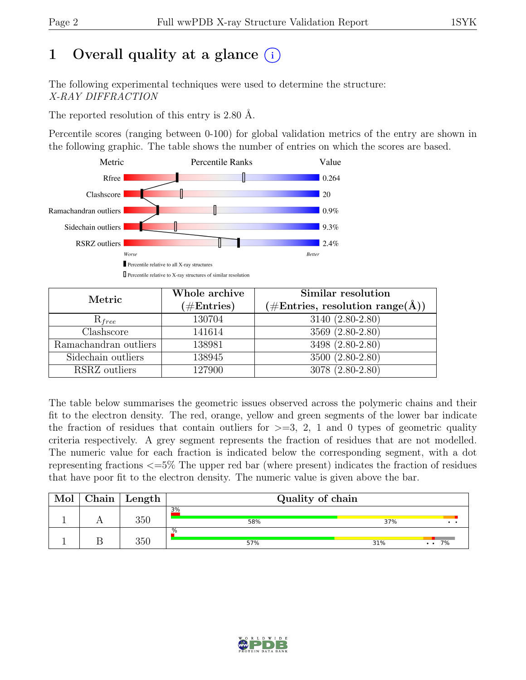# 1 Overall quality at a glance  $(i)$

The following experimental techniques were used to determine the structure: X-RAY DIFFRACTION

The reported resolution of this entry is 2.80 Å.

Percentile scores (ranging between 0-100) for global validation metrics of the entry are shown in the following graphic. The table shows the number of entries on which the scores are based.



| Metric                | Whole archive<br>$(\#\text{Entries})$ | Similar resolution<br>$(\#Entries, resolution range(A))$ |  |  |
|-----------------------|---------------------------------------|----------------------------------------------------------|--|--|
| $R_{free}$            | 130704                                | 3140 (2.80-2.80)                                         |  |  |
| Clashscore            | 141614                                | 3569 (2.80-2.80)                                         |  |  |
| Ramachandran outliers | 138981                                | $3498 (2.80 - 2.80)$                                     |  |  |
| Sidechain outliers    | 138945                                | 3500 (2.80-2.80)                                         |  |  |
| RSRZ outliers         | 127900                                | 3078 (2.80-2.80)                                         |  |  |

The table below summarises the geometric issues observed across the polymeric chains and their fit to the electron density. The red, orange, yellow and green segments of the lower bar indicate the fraction of residues that contain outliers for  $\geq$ =3, 2, 1 and 0 types of geometric quality criteria respectively. A grey segment represents the fraction of residues that are not modelled. The numeric value for each fraction is indicated below the corresponding segment, with a dot representing fractions <=5% The upper red bar (where present) indicates the fraction of residues that have poor fit to the electron density. The numeric value is given above the bar.

| Mol | ${\rm Chain}$ | Length | Quality of chain |     |                            |
|-----|---------------|--------|------------------|-----|----------------------------|
|     |               | 350    | 3%<br>58%        | 37% |                            |
|     |               | 350    | .%<br>57%        | 31% | 7%<br>$\ddot{\phantom{a}}$ |

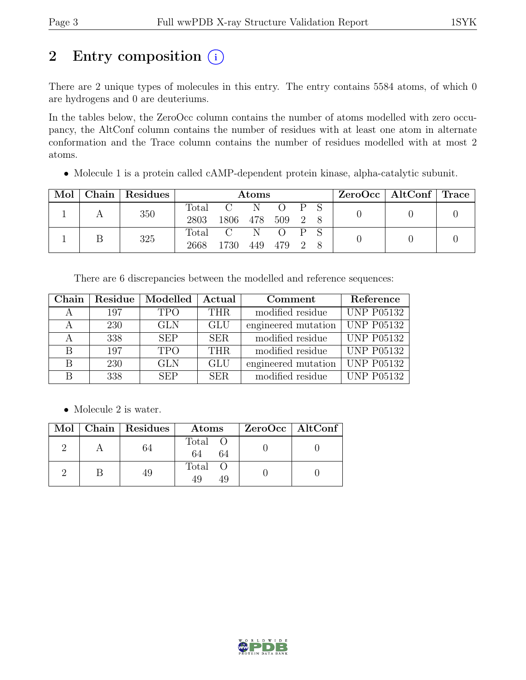# 2 Entry composition  $(i)$

There are 2 unique types of molecules in this entry. The entry contains 5584 atoms, of which 0 are hydrogens and 0 are deuteriums.

In the tables below, the ZeroOcc column contains the number of atoms modelled with zero occupancy, the AltConf column contains the number of residues with at least one atom in alternate conformation and the Trace column contains the number of residues modelled with at most 2 atoms.

• Molecule 1 is a protein called cAMP-dependent protein kinase, alpha-catalytic subunit.

| Mol | Chain   Residues |       | <b>Atoms</b>   |     |           |     | $ZeroOcc \mid AltConf \mid Trace \mid$ |  |  |
|-----|------------------|-------|----------------|-----|-----------|-----|----------------------------------------|--|--|
|     | 350              | Total | $\overline{C}$ | N   | $O$ $P S$ |     |                                        |  |  |
|     |                  | 2803  | 1806 478 509   |     |           | 2 8 |                                        |  |  |
|     | 325              |       | Total C        | N   |           |     |                                        |  |  |
|     |                  | 2668  | 1730           | 449 | 479 2     |     |                                        |  |  |

There are 6 discrepancies between the modelled and reference sequences:

| Chain |     | Residue   Modelled | Actual     | Comment             | Reference         |
|-------|-----|--------------------|------------|---------------------|-------------------|
|       | 197 | <b>TPO</b>         | <b>THR</b> | modified residue    | <b>UNP P05132</b> |
|       | 230 | <b>GLN</b>         | <b>GLU</b> | engineered mutation | <b>UNP P05132</b> |
|       | 338 | <b>SEP</b>         | <b>SER</b> | modified residue    | <b>UNP P05132</b> |
| B     | 197 | <b>TPO</b>         | <b>THR</b> | modified residue    | <b>UNP P05132</b> |
| B     | 230 | <b>GLN</b>         | <b>GLU</b> | engineered mutation | <b>UNP P05132</b> |
| В     | 338 | <b>SEP</b>         | <b>SER</b> | modified residue    | <b>UNP P05132</b> |

• Molecule 2 is water.

|  | Mol   Chain   Residues | Atoms               | ZeroOcc   AltConf |
|--|------------------------|---------------------|-------------------|
|  |                        | Total O<br>64<br>64 |                   |
|  |                        | Total               |                   |

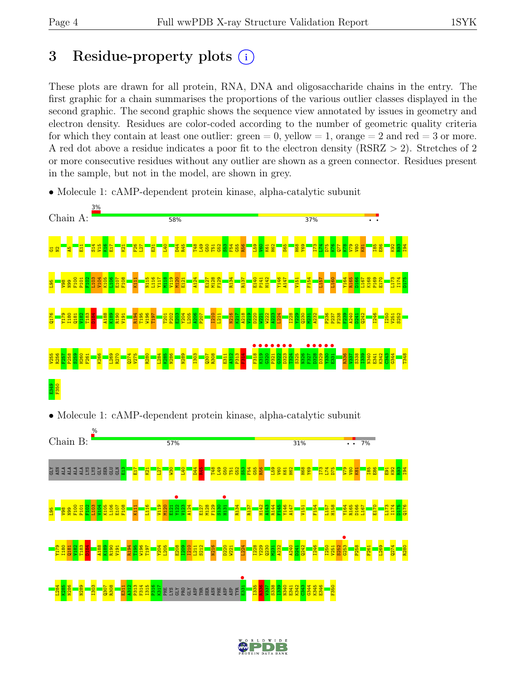## 3 Residue-property plots  $(i)$

These plots are drawn for all protein, RNA, DNA and oligosaccharide chains in the entry. The first graphic for a chain summarises the proportions of the various outlier classes displayed in the second graphic. The second graphic shows the sequence view annotated by issues in geometry and electron density. Residues are color-coded according to the number of geometric quality criteria for which they contain at least one outlier:  $green = 0$ , yellow  $= 1$ , orange  $= 2$  and red  $= 3$  or more. A red dot above a residue indicates a poor fit to the electron density (RSRZ > 2). Stretches of 2 or more consecutive residues without any outlier are shown as a green connector. Residues present in the sample, but not in the model, are shown in grey.





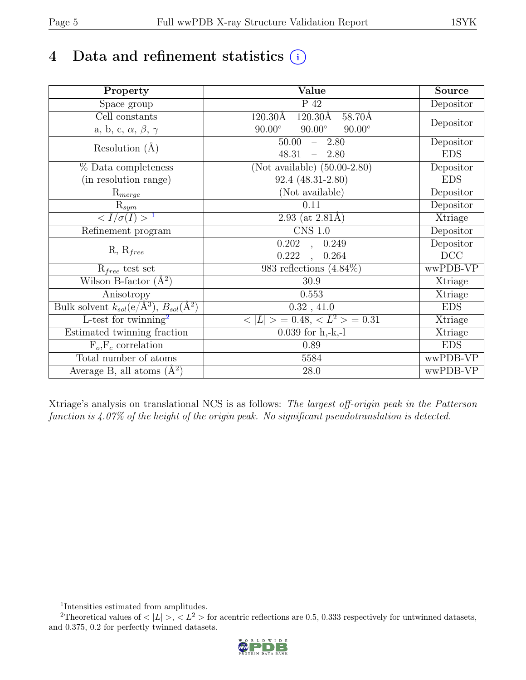# 4 Data and refinement statistics  $(i)$

| Property                                                             | Value                                              | <b>Source</b> |
|----------------------------------------------------------------------|----------------------------------------------------|---------------|
| Space group                                                          | $P_42$                                             | Depositor     |
| $\overline{Cell}$ constants                                          | $120.30\text{\AA}$<br>$120.30\text{\AA}$<br>58.70Å |               |
| a, b, c, $\alpha$ , $\beta$ , $\gamma$                               | $90.00^\circ$<br>$90.00^\circ$<br>$90.00^\circ$    | Depositor     |
| Resolution $(A)$                                                     | 50.00<br>$-2.80$                                   | Depositor     |
|                                                                      | 48.31<br>2.80<br>$\equiv$                          | <b>EDS</b>    |
| % Data completeness                                                  | (Not available) $(50.00-2.80)$                     | Depositor     |
| (in resolution range)                                                | 92.4 (48.31-2.80)                                  | <b>EDS</b>    |
| $\mathrm{R}_{merge}$                                                 | (Not available)                                    | Depositor     |
| $\mathrm{R}_{sym}$                                                   | 0.11                                               | Depositor     |
| $\langle I/\sigma(I) \rangle$ <sup>1</sup>                           | 2.93 (at $2.81\text{\AA}$ )                        | Xtriage       |
| Refinement program                                                   | $CNS$ 1.0                                          | Depositor     |
|                                                                      | 0.202<br>0.249<br>$\overline{\phantom{a}}$         | Depositor     |
| $R, R_{free}$                                                        | 0.222<br>0.264<br>$\ddot{\phantom{a}}$             | DCC           |
| $R_{free}$ test set                                                  | 983 reflections $(4.84\%)$                         | wwPDB-VP      |
| Wilson B-factor $(A^2)$                                              | 30.9                                               | Xtriage       |
| Anisotropy                                                           | 0.553                                              | Xtriage       |
| Bulk solvent $k_{sol}(e/\mathring{A}^3)$ , $B_{sol}(\mathring{A}^2)$ | 0.32, 41.0                                         | <b>EDS</b>    |
| L-test for twinning <sup>2</sup>                                     | $< L >$ = 0.48, $< L2$ > = 0.31                    | Xtriage       |
| Estimated twinning fraction                                          | $0.039$ for h,-k,-l                                | Xtriage       |
| $F_o, F_c$ correlation                                               | 0.89                                               | <b>EDS</b>    |
| Total number of atoms                                                | 5584                                               | wwPDB-VP      |
| Average B, all atoms $(A^2)$                                         | 28.0                                               | wwPDB-VP      |

Xtriage's analysis on translational NCS is as follows: The largest off-origin peak in the Patterson function is 4.07% of the height of the origin peak. No significant pseudotranslation is detected.

<sup>&</sup>lt;sup>2</sup>Theoretical values of  $\langle |L| \rangle$ ,  $\langle L^2 \rangle$  for acentric reflections are 0.5, 0.333 respectively for untwinned datasets, and 0.375, 0.2 for perfectly twinned datasets.



<span id="page-4-1"></span><span id="page-4-0"></span><sup>1</sup> Intensities estimated from amplitudes.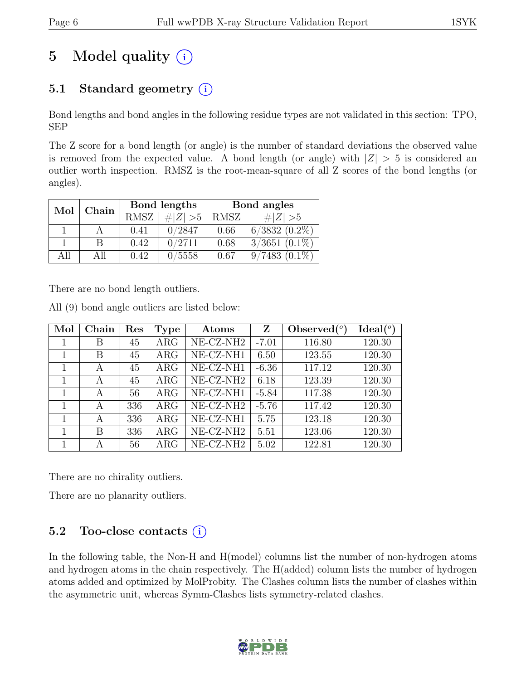# 5 Model quality  $(i)$

## 5.1 Standard geometry  $(i)$

Bond lengths and bond angles in the following residue types are not validated in this section: TPO, SEP

The Z score for a bond length (or angle) is the number of standard deviations the observed value is removed from the expected value. A bond length (or angle) with  $|Z| > 5$  is considered an outlier worth inspection. RMSZ is the root-mean-square of all Z scores of the bond lengths (or angles).

| Mol | Chain |      | Bond lengths | Bond angles |                    |  |
|-----|-------|------|--------------|-------------|--------------------|--|
|     |       | RMSZ | # $ Z  > 5$  | RMSZ        | $\# Z  > 5$        |  |
|     |       | 0.41 | 0/2847       | 0.66        | $6/3832$ $(0.2\%)$ |  |
|     | B     | 0.42 | 0/2711       | 0.68        | $3/3651$ $(0.1\%)$ |  |
| All | All   | 0.42 | 0/5558       | 0.67        | $9/7483(0.1\%)$    |  |

There are no bond length outliers.

| $\mathop{\mathrm{Aut}}$ (3) bond angle outhers are insted below. |       |     |            |                       |         |                |                      |
|------------------------------------------------------------------|-------|-----|------------|-----------------------|---------|----------------|----------------------|
| Mol                                                              | Chain | Res | Type       | Atoms                 | Z       | Observed $(°)$ | Ideal <sup>(o)</sup> |
| 1                                                                | В     | 45  | $\rm{ARG}$ | NE-CZ-NH <sub>2</sub> | $-7.01$ | 116.80         | 120.30               |
| 1                                                                | В     | 45  | $\rm{ARG}$ | NE-CZ-NH1             | 6.50    | 123.55         | 120.30               |
| $\mathbf{1}$                                                     | А     | 45  | $\rm{ARG}$ | NE-CZ-NH1             | $-6.36$ | 117.12         | 120.30               |
| 1                                                                | A     | 45  | ARG        | NE-CZ-NH <sub>2</sub> | 6.18    | 123.39         | 120.30               |
| $\mathbf{1}$                                                     | А     | 56  | $\rm{ARG}$ | NE-CZ-NH1             | $-5.84$ | 117.38         | 120.30               |
| $\mathbf{1}$                                                     | А     | 336 | $\rm{ARG}$ | NE-CZ-NH <sub>2</sub> | $-5.76$ | 117.42         | 120.30               |
| 1                                                                | А     | 336 | $\rm{ARG}$ | NE-CZ-NH1             | 5.75    | 123.18         | 120.30               |
| 1                                                                | В     | 336 | $\rm{ARG}$ | $NE- CZ- NH2$         | 5.51    | 123.06         | 120.30               |
|                                                                  | А     | 56  | $\rm{ARG}$ | NE-CZ-NH2             | 5.02    | 122.81         | 120.30               |

All (9) bond angle outliers are listed below:

There are no chirality outliers.

There are no planarity outliers.

## 5.2 Too-close contacts  $(i)$

In the following table, the Non-H and H(model) columns list the number of non-hydrogen atoms and hydrogen atoms in the chain respectively. The H(added) column lists the number of hydrogen atoms added and optimized by MolProbity. The Clashes column lists the number of clashes within the asymmetric unit, whereas Symm-Clashes lists symmetry-related clashes.

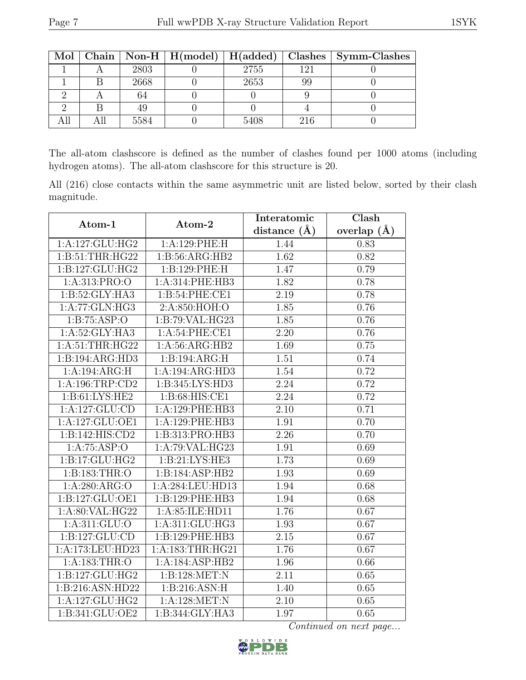| Mol |      |      |     | Chain   Non-H   H(model)   H(added)   Clashes   Symm-Clashes |
|-----|------|------|-----|--------------------------------------------------------------|
|     | 2803 | 2755 | 121 |                                                              |
|     | 2668 | 2653 |     |                                                              |
|     | 64   |      |     |                                                              |
|     | 49   |      |     |                                                              |
|     | 5584 | 5408 | 216 |                                                              |

The all-atom clashscore is defined as the number of clashes found per 1000 atoms (including hydrogen atoms). The all-atom clashscore for this structure is 20.

All (216) close contacts within the same asymmetric unit are listed below, sorted by their clash magnitude.

| Atom-1              | Atom-2                       | Interatomic       | Clash           |
|---------------------|------------------------------|-------------------|-----------------|
|                     |                              | distance $(A)$    | overlap $(\AA)$ |
| 1:A:127:GLU:HG2     | 1:A:129:PHE:H                | 1.44              | 0.83            |
| 1: B:51:THR:HG22    | 1:B:56:ARG:HB2               | 1.62              | 0.82            |
| 1:B:127:GLU:HG2     | 1:B:129:PHE:H                | 1.47              | 0.79            |
| 1:A:313:PRO:O       | 1:A:314:PHE:HB3              | 1.82              | 0.78            |
| 1:B:52:GLY:HA3      | 1:B:54:PHE:CE1               | 2.19              | 0.78            |
| 1:A:77:GLN:HG3      | 2:A:850:HOH:O                | 1.85              | 0.76            |
| 1: B: 75: ASP:O     | 1:B:79:VAL:HG23              | 1.85              | 0.76            |
| 1:A:52:GLY:HA3      | 1:A:54:PHE:CE1               | 2.20              | 0.76            |
| 1:A:51:THR:HG22     | 1:A:56:ARG:HB2               | 1.69              | 0.75            |
| 1:B:194:ARG:HD3     | 1:B:194:ARG:H                | 1.51              | 0.74            |
| 1:A:194:ARG:H       | 1:A:194:ARG:HD3              | 1.54              | 0.72            |
| 1: A: 196: TRP: CD2 | 1:B:345:LYS:HD3              | 2.24              | 0.72            |
| 1: B:61: LYS: HE2   | 1: B:68: HIS: CE1            | $\overline{2.24}$ | 0.72            |
| 1:A:127:GLU:CD      | 1:A:129:PHE:HB3              | 2.10              | 0.71            |
| 1:A:127:GLU:OE1     | 1:A:129:PHE:HB3              | 1.91              | 0.70            |
| 1: B: 142: HIS: CD2 | 1:B:313:PRO:HB3              | $\overline{2.26}$ | 0.70            |
| 1:A:75:ASP:O        | 1:A:79:VAL:HG23              | 1.91              | 0.69            |
| 1:B:17:GLU:HG2      | 1:B:21:LYS:HE3               | 1.73              | 0.69            |
| 1:B:183:THR:O       | 1:B:184:ASP:HB2              | 1.93              | 0.69            |
| 1: A:280: ARG:O     | 1:A:284:LEU:HD13             | 1.94              | 0.68            |
| 1:B:127:GLU:OE1     | 1:B:129:PHE:HB3              | 1.94              | 0.68            |
| 1:A:80:VAL:HG22     | 1:A:85:ILE:HD11              | 1.76              | 0.67            |
| 1:A:311:GLU:O       | $1:A:\overline{311:GLU:HG3}$ | 1.93              | 0.67            |
| 1:B:127:GLU:CD      | 1:B:129:PHE:HB3              | 2.15              | 0.67            |
| 1:A:173:LEU:HD23    | 1:A:183:THR:HG21             | 1.76              | 0.67            |
| 1:A:183:THR:O       | 1:A:184:ASP:HB2              | 1.96              | 0.66            |
| 1:B:127:GLU:HG2     | 1:B:128:MET:N                | 2.11              | 0.65            |
| 1:B:216:ASN:HD22    | 1:B:216:ASN:H                | 1.40              | 0.65            |
| 1:A:127:GLU:HG2     | 1:A:128:MET:N                | 2.10              | 0.65            |
| 1:B:341:GLU:OE2     | 1:B:344:GLY:HA3              | 1.97              | 0.65            |

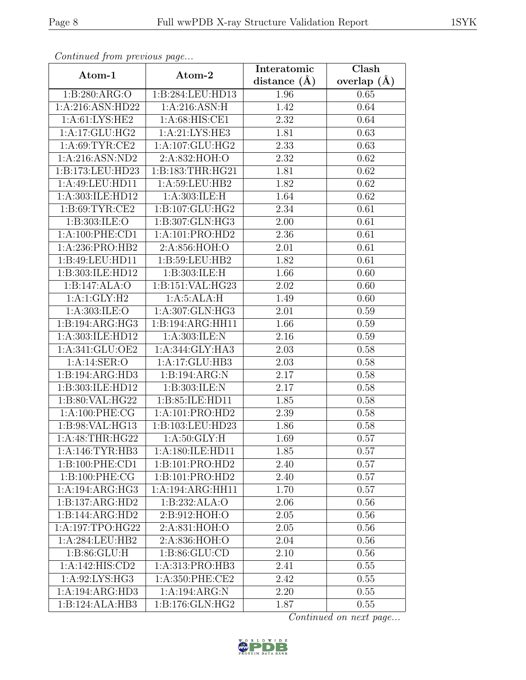|                    | Continued from previous page  |                | $\overline{\text{Clash}}$ |  |
|--------------------|-------------------------------|----------------|---------------------------|--|
| Atom-1             | Atom-2                        | distance $(A)$ | overlap $(\AA)$           |  |
| 1:B:280:ARG:O      | 1:B:284:LEU:HD13              | 1.96           | 0.65                      |  |
| 1:A:216:ASN:HD22   | 1: A:216: ASN:H               | 1.42           | 0.64                      |  |
| 1: A:61: LYS: HE2  | 1: A:68: HIS: CE1             | 2.32           | 0.64                      |  |
| 1:A:17:GLU:HG2     | 1:A:21:LYS:HE3                | 1.81           | 0.63                      |  |
| 1: A:69: TYR:CE2   | 1: A: 107: GLU: HG2           | 2.33           | 0.63                      |  |
| 1:A:216:ASN:ND2    | 2:A:832:HOH:O                 | 2.32           | 0.62                      |  |
| 1:B:173:LEU:HD23   | 1:B:183:THR:HG21              | 1.81           | 0.62                      |  |
| 1:A:49:LEU:HD11    | 1: A:59:LEU:HB2               | 1.82           | 0.62                      |  |
| 1:A:303:ILE:HD12   | 1:A:303:ILE:H                 | 1.64           | 0.62                      |  |
| 1: B:69: TYR:CE2   | 1:B:107:GLU:HG2               | 2.34           | 0.61                      |  |
| 1:B:303:ILE:O      | 1:B:307:GLN:HG3               | 2.00           | 0.61                      |  |
| 1:A:100:PHE:CD1    | 1:A:101:PRO:HD2               | 2.36           | 0.61                      |  |
| 1:A:236:PRO:HB2    | 2:A:856:HOH:O                 | 2.01           | 0.61                      |  |
| 1:B:49:LEU:HD11    | 1:B:59:LEU:HB2                | 1.82           | 0.61                      |  |
| 1:B:303:ILE:HD12   | 1:B:303:ILE:H                 | 1.66           | 0.60                      |  |
| 1:B:147:ALA:O      | 1:B:151:VAL:HG23              | 2.02           | 0.60                      |  |
| 1:A:1:GLY:H2       | 1: A:5: ALA:H                 | 1.49           | 0.60                      |  |
| 1:A:303:ILE:O      | 1:A:307:GLN:HG3               | 2.01           | 0.59                      |  |
| 1:B:194:ARG:HG3    | 1:B:194:ARG:HH11              | 1.66           | 0.59                      |  |
| 1:A:303:ILE:HD12   | 1: A:303: ILE:N               | 2.16           | 0.59                      |  |
| 1:A:341:GLU:OE2    | 1:A:344:GLY:HA3               | 2.03           | 0.58                      |  |
| 1:A:14:SER:O       | 1:A:17:GLU:HB3                | 2.03           | 0.58                      |  |
| 1:B:194:ARG:HD3    | 1:B:194:ARG:N                 | 2.17           | 0.58                      |  |
| 1:B:303:ILE:HD12   | 1:B:303:ILE:N                 | 2.17           | 0.58                      |  |
| 1:B:80:VAL:HG22    | 1:B:85:ILE:HD11               | 1.85           | 0.58                      |  |
| 1: A:100: PHE:CG   | 1:A:101:PRO:HD2               | 2.39           | 0.58                      |  |
| 1:B:98:VAL:HG13    | 1:B:103:LEU:HD23              | 1.86           | 0.58                      |  |
| 1:A:48:THR:HG22    | $1: A:50: GLY: \overline{H}$  | 1.69           | 0.57                      |  |
| 1:A:146:TYR:HB3    | $1:A:180:I\overline{LE:HDI1}$ | 1.85           | 0.57                      |  |
| 1:B:100:PHE:CD1    | 1:B:101:PRO:HD2               | 2.40           | 0.57                      |  |
| 1: B: 100: PHE: CG | 1:B:101:PRO:HD2               | 2.40           | 0.57                      |  |
| 1:A:194:ARG:HG3    | 1:A:194:ARG:HH11              | 1.70           | 0.57                      |  |
| 1:B:137:ARG:HD2    | 1:B:232:ALA:O                 | 2.06           | 0.56                      |  |
| 1:B:144:ARG:HD2    | 2:B:912:HOH:O                 | 2.05           | 0.56                      |  |
| 1:A:197:TPO:HG22   | 2:A:831:HOH:O                 | 2.05           | 0.56                      |  |
| 1:A:284:LEU:HB2    | 2:A:836:HOH:O                 | 2.04           | 0.56                      |  |
| 1: B:86: GLU: H    | 1: B:86: GLU:CD               | 2.10           | 0.56                      |  |
| 1:A:142:HIS:CD2    | 1:A:313:PRO:HB3               | 2.41           | 0.55                      |  |
| 1:A:92:LYS:HG3     | 1:A:350:PHE:CE2               | 2.42           | 0.55                      |  |
| 1:A:194:ARG:HD3    | 1:A:194:ARG:N                 | 2.20           | 0.55                      |  |
| 1:B:124:ALA:HB3    | 1:B:176:GLN:HG2               | 1.87           | 0.55                      |  |

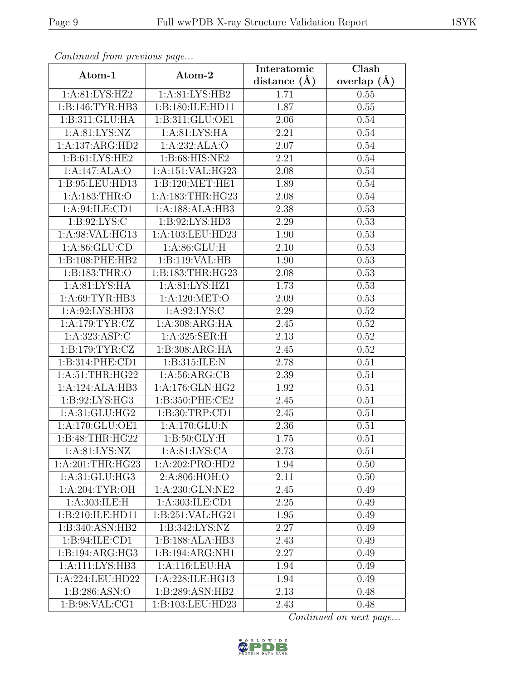| Continuea from previous page |                                | Interatomic      | Clash         |
|------------------------------|--------------------------------|------------------|---------------|
| Atom-1                       | Atom-2                         | distance $(\AA)$ | overlap $(A)$ |
| 1: A:81: LYS: HZ2            | 1: A:81: LYS:HB2               | 1.71             | 0.55          |
| 1:B:146:TYR:HB3              | 1:B:180:ILE:HD11               | 1.87             | 0.55          |
| 1:B:311:GLU:HA               | 1:B:311:GLU:OE1                | 2.06             | 0.54          |
| 1: A:81: LYS:NZ              | 1: A:81: LYS: HA               | 2.21             | 0.54          |
| 1:A:137:ARG:HD2              | 1:A:232:ALA:O                  | 2.07             | 0.54          |
| 1:B:61:LYS:HE2               | 1:B:68:HIS:NE2                 | 2.21             | 0.54          |
| 1:A:147:ALA:O                | 1:A:151:VAL:HG23               | 2.08             | 0.54          |
| 1:B:95:LEU:HD13              | 1:B:120:MET:HE1                | 1.89             | 0.54          |
| 1:A:183:THR:O                | 1: A: 183: THR: HG23           | 2.08             | 0.54          |
| 1: A:94: ILE: CD1            | 1:A:188:ALA:HB3                | 2.38             | 0.53          |
| 1: B:92: LYS:C               | 1:B:92:LYS:HD3                 | 2.29             | 0.53          |
| 1:A:98:VAL:HG13              | 1:A:103:LEU:HD23               | 1.90             | 0.53          |
| 1: A:86: GLU:CD              | 1: A:86: GLU: H                | 2.10             | 0.53          |
| 1:B:108:PHE:HB2              | 1:B:119:VAL:HB                 | 1.90             | 0.53          |
| 1:B:183:THR:O                | 1:B:183:THR:HG23               | 2.08             | 0.53          |
| 1:A:81:LYS:HA                | 1:A:81:LYS:HZ1                 | 1.73             | 0.53          |
| 1:A:69:TYR:HB3               | 1:A:120:MET:O                  | 2.09             | 0.53          |
| 1:A:92:LYS:HD3               | 1: A:92: LYS:C                 | 2.29             | 0.52          |
| 1: A:179: TYR: CZ            | 1:A:308:ARG:HA                 | 2.45             | 0.52          |
| 1:A:323:ASP:C                | 1:A:325:SER:H                  | 2.13             | 0.52          |
| 1: B: 179: TYR: CZ           | 1:B:308:ARG:HA                 | 2.45             | 0.52          |
| 1:B:314:PHE:CD1              | 1:B:315:ILE:N                  | 2.78             | 0.51          |
| 1:A:51:THR:HG22              | 1: A:56: ARG:CB                | 2.39             | 0.51          |
| 1:A:124:ALA:HB3              | 1:A:176:GLN:HG2                | 1.92             | 0.51          |
| 1:B:92:LYS:HG3               | 1:B:350:PHE:CE2                | 2.45             | 0.51          |
| 1:A:31:GLU:HG2               | 1:B:30:TRP:CD1                 | 2.45             | 0.51          |
| 1:A:170:GLU:OE1              | 1:A:170:GLU:N                  | 2.36             | 0.51          |
| 1:B:48:THR:HG22              | $1: B:50: \overline{GLY:H}$    | 1.75             | 0.51          |
| 1: A:81: LYS:NZ              | 1: A:81: LYS:CA                | 2.73             | 0.51          |
| 1:A:201:THR:HG23             | 1:A:202:PRO:HD2                | 1.94             | 0.50          |
| 1:A:31:GLU:HG3               | 2:A:806:HOH:O                  | 2.11             | 0.50          |
| 1: A:204:TYR:OH              | $1: A:230: \overline{GLN:NE2}$ | 2.45             | 0.49          |
| 1: A:303: ILE:H              | 1:A:303:ILE:CD1                | 2.25             | 0.49          |
| 1:B:210:ILE:HD11             | 1:B:251:VAL:HG21               | $1.95\,$         | 0.49          |
| 1:B:340:ASN:HB2              | 1: B:342: LYS: NZ              | 2.27             | 0.49          |
| 1: B:94: ILE: CD1            | 1:B:188:ALA:HB3                | 2.43             | 0.49          |
| 1:B:194:ARG:HG3              | 1:B:194:ARG:NH1                | 2.27             | 0.49          |
| 1:A:111:LYS:HB3              | 1:A:116:LEU:HA                 | 1.94             | 0.49          |
| 1:A:224:LEU:HD22             | 1:A:228:ILE:HG13               | 1.94             | 0.49          |
| 1: B:286: ASN:O              | 1:B:289:ASN:HB2                | 2.13             | 0.48          |
| 1:B:98:VAL:CG1               | 1:B:103:LEU:HD23               | 2.43             | 0.48          |

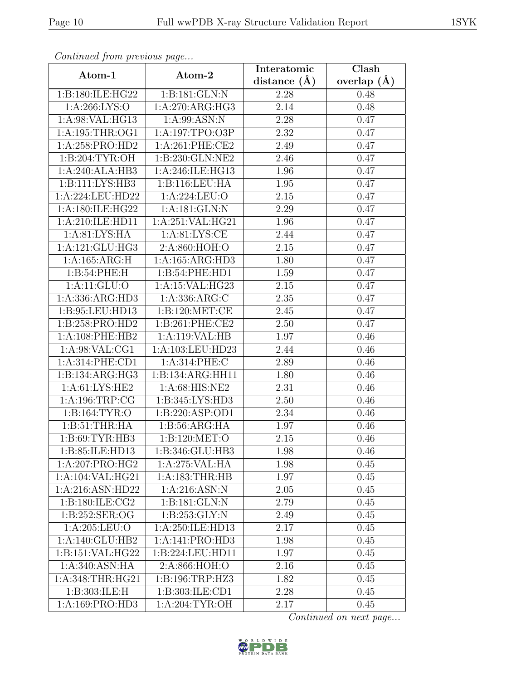| Continua from previous page |                               | Interatomic       | $\overline{\text{Clash}}$ |
|-----------------------------|-------------------------------|-------------------|---------------------------|
| Atom-1                      | Atom-2                        | distance $(\AA)$  | overlap $(A)$             |
| 1:B:180:ILE:HG22            | 1:B:181:GLN:N                 | 2.28              | 0.48                      |
| 1: A:266: LYS:O             | 1:A:270:ARG:HG3               | 2.14              | 0.48                      |
| 1: A:98: VAL: HG13          | 1: A:99: ASN: N               | $2.28\,$          | 0.47                      |
| 1: A:195:THR:OG1            | 1:A:197:TPO:O3P               | 2.32              | 0.47                      |
| 1:A:258:PRO:HD2             | 1: A:261:PHE:CE2              | 2.49              | 0.47                      |
| 1: B:204: TYR:OH            | 1:B:230:GLN:NE2               | 2.46              | 0.47                      |
| 1:A:240:ALA:HB3             | $1:A:246:I\overline{LE:HG13}$ | 1.96              | 0.47                      |
| 1:B:111:LYS:HB3             | 1:B:116:LEU:HA                | 1.95              | 0.47                      |
| 1:A:224:LEU:HD22            | 1:A:224:LEU:O                 | 2.15              | 0.47                      |
| 1:A:180:ILE:HG22            | 1:A:181:GLN:N                 | 2.29              | 0.47                      |
| 1:A:210:ILE:HD11            | 1:A:251:VAL:HG21              | 1.96              | 0.47                      |
| 1: A:81: LYS: HA            | 1: A:81: LYS:CE               | 2.44              | 0.47                      |
| 1:A:121:GLU:HG3             | 2:A:860:HOH:O                 | 2.15              | 0.47                      |
| 1:A:165:ARG:H               | 1:A:165:ARG:HD3               | 1.80              | 0.47                      |
| 1:B:54:PHE:H                | 1:B:54:PHE:HD1                | 1.59              | 0.47                      |
| 1:A:11:GLU:O                | 1:A:15:VAL:HG23               | 2.15              | 0.47                      |
| 1:A:336:ARG:HD3             | 1:A:336:ARG:C                 | 2.35              | 0.47                      |
| 1:B:95:LEU:HD13             | 1: B: 120: MET: CE            | 2.45              | 0.47                      |
| 1:B:258:PRO:HD2             | 1:B:261:PHE:CE2               | 2.50              | 0.47                      |
| 1: A:108: PHE:HB2           | 1:A:119:VAL:HB                | 1.97              | 0.46                      |
| 1:A:98:VAL:CG1              | 1:A:103:LEU:HD23              | 2.44              | 0.46                      |
| 1: A:314: PHE:CD1           | 1:A:314:PHE:C                 | 2.89              | 0.46                      |
| 1:B:134:ARG:HG3             | 1:B:134:ARG:HH11              | 1.80              | 0.46                      |
| 1: A: 61: LYS: HE2          | 1:A:68:HIS:NE2                | $\overline{2}.31$ | 0.46                      |
| 1:A:196:TRP:CG              | 1:B:345:LYS:HD3               | 2.50              | 0.46                      |
| 1:B:164:TYR:O               | 1:B:220:ASP:OD1               | 2.34              | 0.46                      |
| 1: B:51:THR:HA              | 1: B:56: ARG:HA               | 1.97              | 0.46                      |
| 1: B:69: TYR: HB3           | 1: B: 120: MET:O              | 2.15              | 0.46                      |
| 1:B:85:ILE:HD13             | 1:B:346:GLU:HB3               | 1.98              | 0.46                      |
| 1:A:207:PRO:HG2             | 1:A:275:VAL:HA                | 1.98              | 0.45                      |
| 1:A:104:VAL:HG21            | 1: A: 183: THR: HB            | 1.97              | 0.45                      |
| 1:A:216:ASN:HD22            | 1:A:216:ASN:N                 | 2.05              | 0.45                      |
| 1:B:180:ILE:CG2             | 1:B:181:GLN:N                 | 2.79              | 0.45                      |
| 1:B:252:SER:OG              | 1: B: 253: GLY:N              | 2.49              | 0.45                      |
| 1:A:205:LEU:O               | 1:A:250:ILE:HD13              | 2.17              | 0.45                      |
| 1:A:140:GLU:HB2             | 1:A:141:PRO:HD3               | 1.98              | 0.45                      |
| 1:B:151:VAL:HG22            | 1:B:224:LEU:HD11              | 1.97              | 0.45                      |
| 1:A:340:ASN:HA              | 2:A:866:HOH:O                 | 2.16              | 0.45                      |
| 1: A:348:THR:HG21           | 1: B: 196: TRP: HZ3           | 1.82              | 0.45                      |
| 1:B:303:ILE:H               | 1:B:303:ILE:CD1               | 2.28              | 0.45                      |
| 1:A:169:PRO:HD3             | 1: A:204:TYR:OH               | 2.17              | 0.45                      |

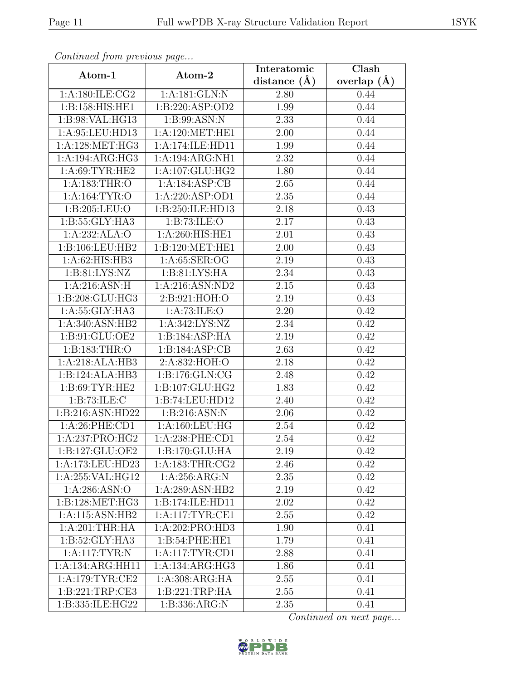| Continuati jibin protibus puga |                     | Interatomic      | Clash           |
|--------------------------------|---------------------|------------------|-----------------|
| Atom-1                         | Atom-2              | distance $(\AA)$ | overlap $(\AA)$ |
| 1:A:180:ILE:CG2                | 1:A:181:GLN:N       | 2.80             | 0.44            |
| 1:B:158:HIS:HE1                | 1:B:220:ASP:OD2     | 1.99             | 0.44            |
| 1:B:98:VAL:HG13                | 1: B:99: ASN:N      | 2.33             | 0.44            |
| 1:A:95:LEU:HD13                | 1: A:120: MET:HE1   | 2.00             | 0.44            |
| 1: A: 128: MET: HG3            | 1:A:174:ILE:HD11    | 1.99             | 0.44            |
| 1:A:194:ARG:HG3                | 1:A:194:ARG:NH1     | 2.32             | 0.44            |
| 1:A:69:TYR:HE2                 | 1:A:107:GLU:HG2     | 1.80             | 0.44            |
| 1: A: 183: THR:O               | 1:A:184:ASP:CB      | 2.65             | 0.44            |
| 1: A: 164: TYR: O              | 1:A:220:ASP:OD1     | 2.35             | 0.44            |
| 1:B:205:LEU:O                  | 1:B:250:ILE:HD13    | 2.18             | 0.43            |
| 1:B:55:GLY:HA3                 | 1:B:73:ILE:O        | 2.17             | 0.43            |
| 1:A:232:ALA:O                  | 1:A:260:HIS:HE1     | 2.01             | 0.43            |
| 1:B:106:LEU:HB2                | 1:B:120:MET:HE1     | 2.00             | 0.43            |
| 1:A:62:HIS:HB3                 | 1: A:65: SER:OG     | 2.19             | 0.43            |
| 1: B:81: LYS:NZ                | 1:B:81:LYS:HA       | 2.34             | 0.43            |
| 1:A:216:ASN:H                  | 1:A:216:ASN:ND2     | 2.15             | 0.43            |
| 1:B:208:GLU:HG3                | 2:B:921:HOH:O       | 2.19             | 0.43            |
| 1: A: 55: GLY: HA3             | 1: A:73: ILE: O     | 2.20             | 0.42            |
| 1:A:340:ASN:HB2                | 1: A:342: LYS: NZ   | 2.34             | 0.42            |
| 1: B:91: GLU:OE2               | 1:B:184:ASP:HA      | 2.19             | 0.42            |
| 1:B:183:THR:O                  | 1: B: 184: ASP: CB  | 2.63             | 0.42            |
| 1:A:218:ALA:HB3                | 2:A:832:HOH:O       | 2.18             | 0.42            |
| 1:B:124:ALA:HB3                | 1:B:176:GLN:CG      | 2.48             | 0.42            |
| 1: B:69: TYR: HE2              | 1:B:107:GLU:HG2     | 1.83             | 0.42            |
| 1: B: 73: ILE:C                | 1:B:74:LEU:HD12     | 2.40             | 0.42            |
| 1:B:216:ASN:HD22               | 1:B:216:ASN:N       | 2.06             | 0.42            |
| $1: A:26:$ PHE:CD1             | 1:A:160:LEU:HG      | 2.54             | 0.42            |
| 1:A:237:PRO:HG2                | 1:A:238:PHE:CD1     | 2.54             | 0.42            |
| 1:B:127:GLU:OE2                | 1:B:170:GLU:HA      | 2.19             | 0.42            |
| 1:A:173:LEU:HD23               | 1: A: 183: THR: CG2 | 2.46             | 0.42            |
| 1:A:255:VAL:HG12               | 1:A:256:ARG:N       | 2.35             | 0.42            |
| 1: A:286: ASN:O                | 1:A:289:ASN:HB2     | 2.19             | 0.42            |
| 1: B: 128: MET: HG3            | 1:B:174:ILE:HD11    | 2.02             | 0.42            |
| 1:A:115:ASN:HB2                | 1:A:117:TYR:CE1     | 2.55             | 0.42            |
| 1: A:201:THR:HA                | 1:A:202:PRO:HD3     | 1.90             | 0.41            |
| 1:B:52:GLY:HA3                 | 1:B:54:PHE:HE1      | 1.79             | 0.41            |
| 1:A:117:TYR:N                  | 1: A:117: TYR: CD1  | 2.88             | 0.41            |
| 1:A:134:ARG:HH11               | 1:A:134:ARG:HG3     | 1.86             | 0.41            |
| 1: A:179: TYR: CE2             | 1: A:308: ARG: HA   | 2.55             | 0.41            |
| 1:B:221:TRP:CE3                | 1:B:221:TRP:HA      | 2.55             | 0.41            |
| 1:B:335:ILE:HG22               | 1:B:336:ARG:N       | 2.35             | 0.41            |

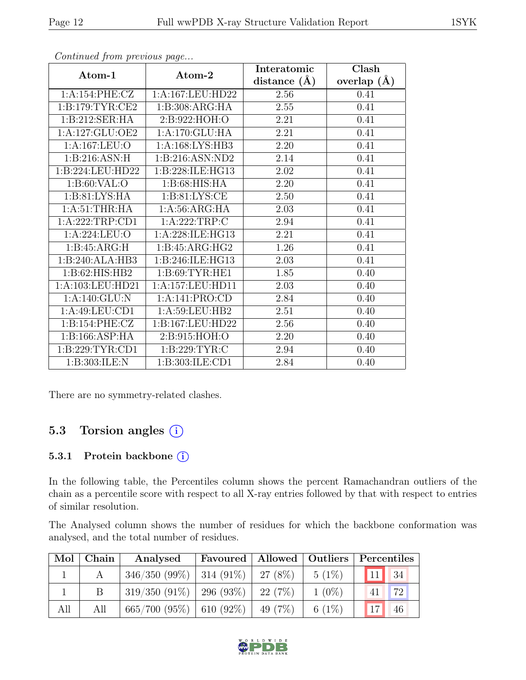|                     |                   | Interatomic    | Clash         |
|---------------------|-------------------|----------------|---------------|
| Atom-1              | Atom-2            | distance $(A)$ | overlap $(A)$ |
| 1:A:154:PHE:CZ      | 1:A:167:LEU:HD22  | 2.56           | 0.41          |
| 1: B:179: TYR: CE2  | 1:B:308:ARG:HA    | 2.55           | 0.41          |
| 1:B:212:SER:HA      | 2:B:922:HOH:O     | 2.21           | 0.41          |
| 1: A: 127: GLU: OE2 | 1:A:170:GLU:HA    | 2.21           | 0.41          |
| 1:A:167:LEU:O       | 1:A:168:LYS:HB3   | 2.20           | 0.41          |
| 1: B:216: ASN:H     | 1:B:216:ASN:ND2   | 2.14           | 0.41          |
| 1:B:224:LEU:HD22    | 1:B:228:ILE:HG13  | 2.02           | 0.41          |
| 1: B:60: VAL:O      | 1:B:68:HIS:HA     | 2.20           | 0.41          |
| 1: B:81: LYS: HA    | 1: B:81: LYS: CE  | 2.50           | 0.41          |
| 1: A:51:THR:HA      | 1: A:56: ARG:HA   | 2.03           | 0.41          |
| 1:A:222:TRP:CD1     | 1:A:222:TRP:C     | 2.94           | 0.41          |
| 1:A:224:LEU:O       | 1:A:228:ILE:HG13  | 2.21           | 0.41          |
| 1:B:45:ARG:H        | 1:B:45:ARG:HG2    | 1.26           | 0.41          |
| 1:B:240:ALA:HB3     | 1:B:246:ILE:HG13  | 2.03           | 0.41          |
| 1:B:62:HIS:HB2      | 1: B:69: TYR: HE1 | 1.85           | 0.40          |
| 1:A:103:LEU:HD21    | 1:A:157:LEU:HD11  | 2.03           | 0.40          |
| 1:A:140:GLU:N       | 1:A:141:PRO:CD    | 2.84           | 0.40          |
| 1:A:49:LEU:CD1      | 1:A:59:LEU:HB2    | 2.51           | 0.40          |
| 1:B:154:PHE:CZ      | 1:B:167:LEU:HD22  | 2.56           | 0.40          |
| 1:B:166:ASP:HA      | 2:B:915:HOH:O     | 2.20           | 0.40          |
| 1:B:229:TYR:CD1     | 1:B:229:TYR:C     | 2.94           | 0.40          |
| 1:B:303:ILE:N       | 1:B:303:ILE:CD1   | 2.84           | 0.40          |

There are no symmetry-related clashes.

## 5.3 Torsion angles (i)

#### 5.3.1 Protein backbone ①

In the following table, the Percentiles column shows the percent Ramachandran outliers of the chain as a percentile score with respect to all X-ray entries followed by that with respect to entries of similar resolution.

The Analysed column shows the number of residues for which the backbone conformation was analysed, and the total number of residues.

| Mol | Chain | Analysed                                 | Favoured   Allowed   Outliers |           |              | Percentiles |
|-----|-------|------------------------------------------|-------------------------------|-----------|--------------|-------------|
|     |       | $346/350 (99\%)$   314 (91\%)   27 (8\%) |                               | $5(1\%)$  | (11)         | 34          |
|     |       | $319/350$ (91\%)   296 (93\%)   22 (7\%) |                               | $1(0\%)$  |              | 72          |
| All | All   | $665/700 (95\%)$ 610 (92\%) 49 (7\%)     |                               | 6 $(1\%)$ | $17^{\circ}$ | 46          |

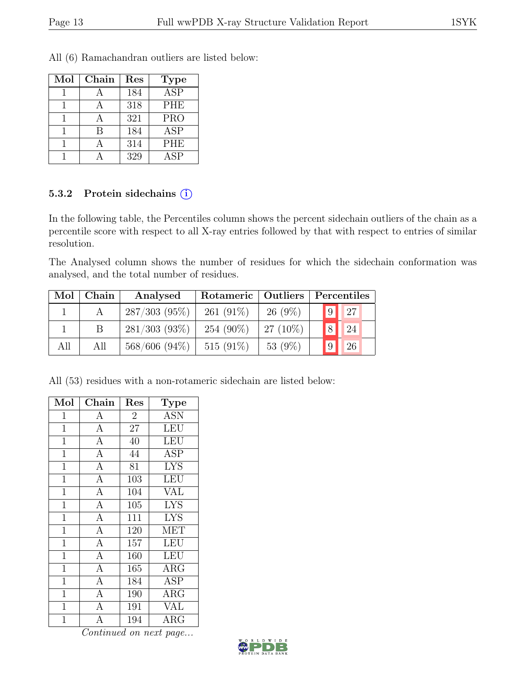All (6) Ramachandran outliers are listed below:

| Mol | Chain | Res | <b>Type</b>             |
|-----|-------|-----|-------------------------|
|     |       | 184 | $\overline{\text{ASP}}$ |
|     |       | 318 | <b>PHE</b>              |
|     |       | 321 | <b>PRO</b>              |
|     | B     | 184 | <b>ASP</b>              |
|     |       | 314 | <b>PHE</b>              |
|     |       | 329 | ASP                     |

#### 5.3.2 Protein side chains  $(i)$

In the following table, the Percentiles column shows the percent sidechain outliers of the chain as a percentile score with respect to all X-ray entries followed by that with respect to entries of similar resolution.

The Analysed column shows the number of residues for which the sidechain conformation was analysed, and the total number of residues.

| Mol | Chain | Analysed         | Rotameric   Outliers |            |                       | Percentiles |
|-----|-------|------------------|----------------------|------------|-----------------------|-------------|
|     |       | $287/303(95\%)$  | 261 $(91\%)$         | $26(9\%)$  | $\vert 9 \vert \vert$ | $\sqrt{27}$ |
|     |       | $281/303(93\%)$  | 254 (90%)            | $27(10\%)$ | $\vert 8 \vert$       | 24          |
| All | All   | $568/606$ (94\%) | 515 $(91\%)$         | 53 $(9\%)$ |                       | 26          |

All (53) residues with a non-rotameric sidechain are listed below:

| Mol            | Chain          | Res            | <b>Type</b>             |
|----------------|----------------|----------------|-------------------------|
| $\mathbf{1}$   | $\mathbf{A}$   | $\overline{2}$ | <b>ASN</b>              |
| $\mathbf{1}$   | $\overline{A}$ | 27             | <b>LEU</b>              |
| $\mathbf{1}$   | $\overline{A}$ | 40             | <b>LEU</b>              |
| $\mathbf{1}$   | $\overline{A}$ | 44             | ASP                     |
| $\mathbf{1}$   | $\mathbf{A}$   | 81             | <b>LYS</b>              |
| $\mathbf{1}$   | $\overline{A}$ | 103            | LEU                     |
| $\mathbf{1}$   | $\mathbf{A}$   | 104            | <b>VAL</b>              |
| $\overline{1}$ | $\overline{A}$ | 105            | $\overline{\text{LYS}}$ |
| $\overline{1}$ | $\overline{A}$ | 111            | <b>LYS</b>              |
| $\mathbf{1}$   | $\overline{A}$ | 120            | MET                     |
| $\mathbf{1}$   | $\overline{A}$ | 157            | <b>LEU</b>              |
| $\mathbf{1}$   | $\mathbf{A}$   | 160            | <b>LEU</b>              |
| $\mathbf{1}$   | $\overline{A}$ | 165            | $\overline{\rm{ARG}}$   |
| $\mathbf{1}$   | $\overline{A}$ | 184            | ASP                     |
| $\mathbf{1}$   | $\overline{A}$ | 190            | ARG                     |
| $\mathbf{1}$   | $\overline{A}$ | 191            | <b>VAL</b>              |
| $\overline{1}$ | $\overline{A}$ | 194            | $\rm{ARG}$              |

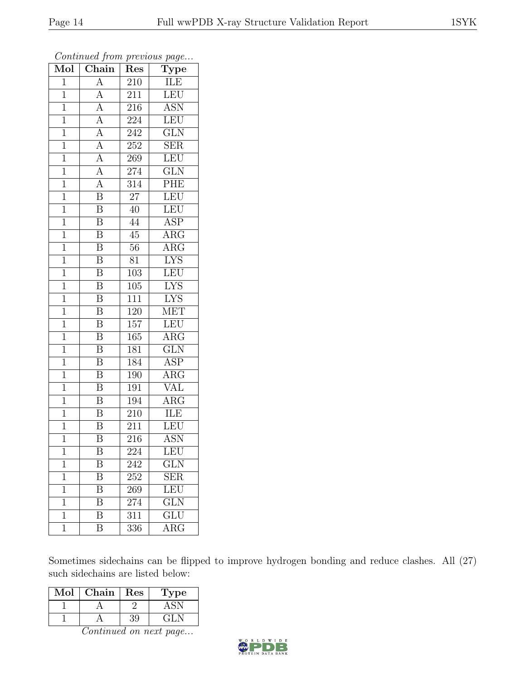| $\overline{\text{Mol}}$ | $\boldsymbol{\mathcal{J}}$<br>Chain | Res              | $\overline{ }$<br>$\overline{v}$<br>$\overline{\mathrm{T}}$ ype |
|-------------------------|-------------------------------------|------------------|-----------------------------------------------------------------|
| $\overline{1}$          | $\overline{A}$                      | 210              | ILE                                                             |
| $\overline{1}$          | A                                   | 211              | LEU                                                             |
| $\overline{1}$          | $\overline{A}$                      | 216              | $\overline{\mathrm{ASN}}$                                       |
| $\mathbf{1}$            | $\overline{A}$                      | 224              | LEU                                                             |
| $\overline{1}$          | $\overline{A}$                      | 242              | $\overline{\text{GLN}}$                                         |
| $\mathbf 1$             | $\overline{A}$                      | 252              | <b>SER</b>                                                      |
| $\mathbf{1}$            | $\overline{A}$                      | 269              | LEU                                                             |
| $\mathbf{1}$            | $\overline{A}$                      | 274              | $\overline{\text{GLN}}$                                         |
| $\mathbf{1}$            | $\overline{A}$                      | 314              | PHE                                                             |
| $\mathbf{1}$            | $\overline{\mathbf{B}}$             | $\overline{27}$  | LEU                                                             |
| $\mathbf{1}$            | $\overline{\mathrm{B}}$             | 40               | <b>LEU</b>                                                      |
| $\overline{1}$          | $\overline{\mathrm{B}}$             | 44               | $\overline{\text{ASP}}$                                         |
| $\overline{1}$          | $\overline{\mathbf{B}}$             | 45               | $\rm{ARG}$                                                      |
| $\mathbf{1}$            | $\boldsymbol{B}$                    | 56               | $\rm{ARG}$                                                      |
| $\mathbf{1}$            | $\overline{\mathrm{B}}$             | 81               | <b>LYS</b>                                                      |
| $\overline{1}$          | $\boldsymbol{B}$                    | 103              | LEU                                                             |
| $\overline{1}$          | $\overline{\mathrm{B}}$             | 105              | <b>LYS</b>                                                      |
| $\mathbf{1}$            | $\overline{\mathbf{B}}$             | 111              | <b>LYS</b>                                                      |
| $\mathbf{1}$            | $\overline{\mathrm{B}}$             | 120              | <b>MET</b>                                                      |
| $\overline{1}$          | $\overline{\mathrm{B}}$             | 157              | <b>LEU</b>                                                      |
| $\mathbf 1$             | $\overline{\mathrm{B}}$             | 165              | $\rm{ARG}$                                                      |
| $\overline{1}$          | $\overline{\mathrm{B}}$             | 181              | $\overline{\text{GLN}}$                                         |
| $\mathbf 1$             | $\overline{\mathbf{B}}$             | 184              | ASP                                                             |
| $\mathbf{1}$            | $\overline{\mathrm{B}}$             | 190              | $\overline{\rm{ARG}}$                                           |
| $\mathbf{1}$            | $\overline{\mathbf{B}}$             | 191              | VAL                                                             |
| $\mathbf 1$             | $\overline{\text{B}}$               | 194              | $\rm{ARG}$                                                      |
| $\mathbf 1$             | $\overline{\mathbf{B}}$             | 210              | ILE                                                             |
| $\mathbf{1}$            | $\overline{\mathbf{B}}$             | 211              | <b>LEU</b>                                                      |
| $\mathbf 1$             | $\overline{\mathrm{B}}$             | 216              | $\overline{\mathrm{ASN}}$                                       |
| 1                       | Β                                   | 224              | LEU                                                             |
| 1                       | $\boldsymbol{B}$                    | 242              | <b>GLN</b>                                                      |
| $\mathbf 1$             | $\overline{\mathrm{B}}$             | $\overline{252}$ | $\overline{\text{SER}}$                                         |
| 1                       | Β                                   | 269              | LEU                                                             |
| 1                       | $\overline{\mathrm{B}}$             | 274              | $\overline{\text{GLN}}$                                         |
| 1                       | B                                   | 311              | GLU                                                             |
| 1                       | $\overline{\mathrm{B}}$             | $\overline{336}$ | $\overline{\rm{ARG}}$                                           |

Sometimes sidechains can be flipped to improve hydrogen bonding and reduce clashes. All (27) such sidechains are listed below:

| $\operatorname{Mol}$ | Chain | Res | Lype          |
|----------------------|-------|-----|---------------|
|                      |       |     |               |
|                      |       | 39. | $-$ GH $\sim$ |

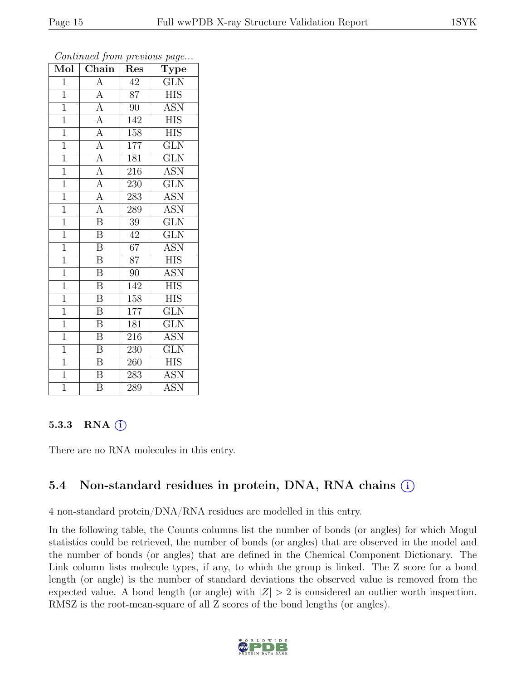| Mol            | Chain                   | Res              | Type                      |
|----------------|-------------------------|------------------|---------------------------|
| 1              | $\overline{\rm A}$      | 42               | <b>GLN</b>                |
| $\mathbf{1}$   | $\overline{A}$          | 87               | <b>HIS</b>                |
| $\overline{1}$ | $\overline{A}$          | 90               | ASN                       |
| $\mathbf{1}$   | $\overline{A}$          | 142              | <b>HIS</b>                |
| $\overline{1}$ | $\overline{A}$          | 158              | $\overline{\text{HIS}}$   |
| $\mathbf{1}$   | $\overline{\rm A}$      | 177              | $\overline{\text{GLN}}$   |
| $\overline{1}$ | $\overline{A}$          | <sup>181</sup>   | $\overline{\text{GLN}}$   |
| $\mathbf{1}$   | $\overline{A}$          | 216              | <b>ASN</b>                |
| $\mathbf{1}$   | $\overline{A}$          | 230              | <b>GLN</b>                |
| $\overline{1}$ | $\overline{A}$          | 283              | $\overline{\text{ASN}}$   |
| $\overline{1}$ | $\overline{A}$          | 289              | <b>ASN</b>                |
| $\overline{1}$ | $\overline{\mathbf{B}}$ | 39               | $\overline{\text{GLN}}$   |
| $\overline{1}$ | $\overline{\mathrm{B}}$ | 42               | $\overline{\text{GLN}}$   |
| $\mathbf{1}$   | $\overline{\mathrm{B}}$ | $\overline{67}$  | <b>ASN</b>                |
| $\mathbf{1}$   | $\overline{\mathrm{B}}$ | 87               | <b>HIS</b>                |
| $\mathbf{1}$   | $\overline{\mathrm{B}}$ | 90               | <b>ASN</b>                |
| $\overline{1}$ | $\overline{\mathrm{B}}$ | 142              | $\overline{\mathrm{HIS}}$ |
| $\mathbf{1}$   | $\boldsymbol{B}$        | 158              | <b>HIS</b>                |
| $\overline{1}$ | $\overline{\mathrm{B}}$ | $\overline{1}77$ | $\overline{\text{GLN}}$   |
| $\overline{1}$ | $\overline{\mathrm{B}}$ | 181              | $\widetilde{{\rm GLN}}$   |
| $\mathbf{1}$   | $\overline{B}$          | 216              | <b>ASN</b>                |
| $\overline{1}$ | $\overline{\mathrm{B}}$ | 230              | $\overline{\text{GLN}}$   |
| $\mathbf{1}$   | $\overline{\mathrm{B}}$ | 260              | <b>HIS</b>                |
| $\overline{1}$ | $\overline{\mathrm{B}}$ | 283              | $\overline{\mathrm{ASN}}$ |
| $\overline{1}$ | $\overline{\mathrm{B}}$ | 289              | <b>ASN</b>                |

#### 5.3.3 RNA  $(i)$

There are no RNA molecules in this entry.

## 5.4 Non-standard residues in protein, DNA, RNA chains (i)

4 non-standard protein/DNA/RNA residues are modelled in this entry.

In the following table, the Counts columns list the number of bonds (or angles) for which Mogul statistics could be retrieved, the number of bonds (or angles) that are observed in the model and the number of bonds (or angles) that are defined in the Chemical Component Dictionary. The Link column lists molecule types, if any, to which the group is linked. The Z score for a bond length (or angle) is the number of standard deviations the observed value is removed from the expected value. A bond length (or angle) with  $|Z| > 2$  is considered an outlier worth inspection. RMSZ is the root-mean-square of all Z scores of the bond lengths (or angles).

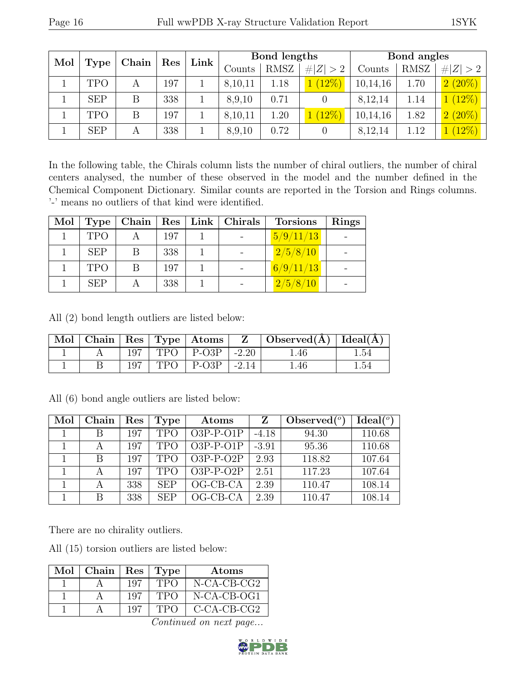| Mol |             | Chain | Res | Bond lengths<br>Link |         |        |             | Bond angles |        |                            |
|-----|-------------|-------|-----|----------------------|---------|--------|-------------|-------------|--------|----------------------------|
|     | <b>Type</b> |       |     |                      |         | Counts | <b>RMSZ</b> | # $ Z  > 2$ | Counts | <b>RMSZ</b>                |
|     | TPO         | A     | 197 |                      | 8,10,11 | 1.18   | (12%)       | 10,14,16    | 1.70   | $(20\%)$<br>$\overline{2}$ |
|     | <b>SEP</b>  | B     | 338 |                      | 8,9,10  | 0.71   |             | 8,12,14     | 1.14   | $(12\%)$                   |
|     | <b>TPO</b>  | B     | 197 |                      | 8,10,11 | 1.20   | $(12\%)$    | 10,14,16    | 1.82   | $2(20\%)$                  |
|     | <b>SEP</b>  | А     | 338 |                      | 8,9,10  | 0.72   |             | 8,12,14     | 1.12   | $12\%$                     |

In the following table, the Chirals column lists the number of chiral outliers, the number of chiral centers analysed, the number of these observed in the model and the number defined in the Chemical Component Dictionary. Similar counts are reported in the Torsion and Rings columns. '-' means no outliers of that kind were identified.

| Mol | <b>Type</b> |   |     | Chain   $\text{Res}$   Link   Chirals | <b>Torsions</b> | <b>Rings</b> |
|-----|-------------|---|-----|---------------------------------------|-----------------|--------------|
|     | <b>TPO</b>  |   | 197 |                                       | 5/9/11/13       |              |
|     | <b>SEP</b>  |   | 338 |                                       | 2/5/8/10        |              |
|     | <b>TPO</b>  | B | 197 |                                       | 6/9/11/13       |              |
|     | <b>SEP</b>  |   | 338 |                                       | 2/5/8/10        |              |

All (2) bond length outliers are listed below:

| $\mod$ $\parallel$ |  |       | $\vert$ Chain $\vert$ Res $\vert$ Type $\vert$ Atoms $\vert$ | $\mathbf{Z}$ | $\forall$ Observed( $\AA$ )   Ideal( $\AA$ ) |       |
|--------------------|--|-------|--------------------------------------------------------------|--------------|----------------------------------------------|-------|
|                    |  | TPO   | $\overline{P}-O3P$                                           | $-2.20$      | .46                                          | .54   |
|                    |  | TPO - | $P-O3P$                                                      | $-2.14$      | . 46                                         | . .54 |

All (6) bond angle outliers are listed below:

| Mol | Chain        | Res | <b>Type</b> | Atoms       | Z       | Observed $(°)$ | Ideal $(°)$ |
|-----|--------------|-----|-------------|-------------|---------|----------------|-------------|
|     | В            | 197 | <b>TPO</b>  | $O3P-P-O1P$ | $-4.18$ | 94.30          | 110.68      |
|     |              | 197 | <b>TPO</b>  | $O3P-P-O1P$ | $-3.91$ | 95.36          | 110.68      |
|     | <sub>B</sub> | 197 | <b>TPO</b>  | $O3P-P-O2P$ | 2.93    | 118.82         | 107.64      |
|     |              | 197 | <b>TPO</b>  | $O3P-P-O2P$ | 2.51    | 117.23         | 107.64      |
|     |              | 338 | <b>SEP</b>  | OG-CB-CA    | 2.39    | 110.47         | 108.14      |
|     | B            | 338 | <b>SEP</b>  | $OG-CB-CA$  | 2.39    | 110.47         | 108.14      |

There are no chirality outliers.

All (15) torsion outliers are listed below:

| Mol | $\vert$ Chain $\vert$ Res $\vert$ Type |     |            | Atoms          |
|-----|----------------------------------------|-----|------------|----------------|
|     |                                        | 197 | <b>TPO</b> | $N-CA-CB-CG2$  |
|     |                                        | 197 | <b>TPO</b> | $N-CA-CB-OG1$  |
|     |                                        | 197 | TPO        | $C$ -CA-CB-CG2 |

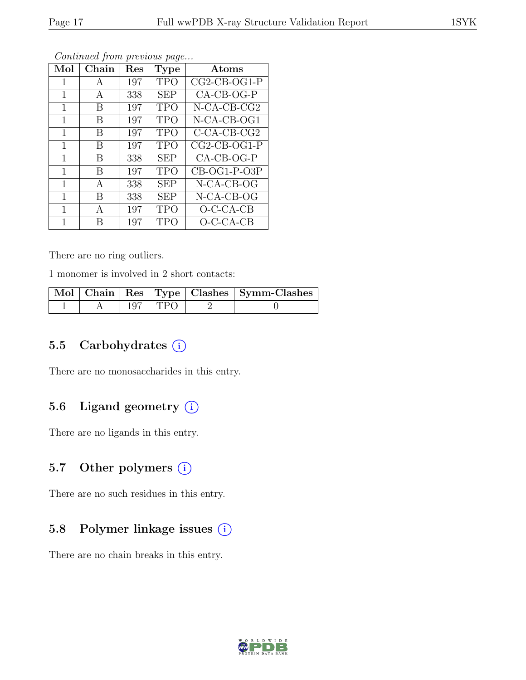| Mol | Chain | Res | <b>Type</b> | Atoms          |
|-----|-------|-----|-------------|----------------|
| 1   | А     | 197 | TPO         | $CG2-CB-OG1-P$ |
| 1   | А     | 338 | <b>SEP</b>  | CA-CB-OG-P     |
| 1   | B     | 197 | <b>TPO</b>  | N-CA-CB-CG2    |
| 1   | B     | 197 | TPO         | N-CA-CB-OG1    |
| 1   | В     | 197 | TPO         | $C$ -CA-CB-CG2 |
| 1   | B     | 197 | TPO         | $CG2-CB-OG1-P$ |
| 1   | B     | 338 | <b>SEP</b>  | $CA-CB-OG-P$   |
| 1   | В     | 197 | <b>TPO</b>  | $CB-OG1-P-O3P$ |
| 1   | А     | 338 | <b>SEP</b>  | $N-CA-CB-OG$   |
| 1   | В     | 338 | <b>SEP</b>  | N-CA-CB-OG     |
| 1   | A     | 197 | <b>TPO</b>  | $O-C-CA-CB$    |
| 1   | R     | 197 | TPO         | $O$ -C-CA-CB   |

There are no ring outliers.

1 monomer is involved in 2 short contacts:

|  |             | Mol   Chain   Res   Type   Clashes   Symm-Clashes |
|--|-------------|---------------------------------------------------|
|  | $197$   TPO |                                                   |

### 5.5 Carbohydrates (i)

There are no monosaccharides in this entry.

## 5.6 Ligand geometry  $(i)$

There are no ligands in this entry.

### 5.7 Other polymers (i)

There are no such residues in this entry.

## 5.8 Polymer linkage issues (i)

There are no chain breaks in this entry.

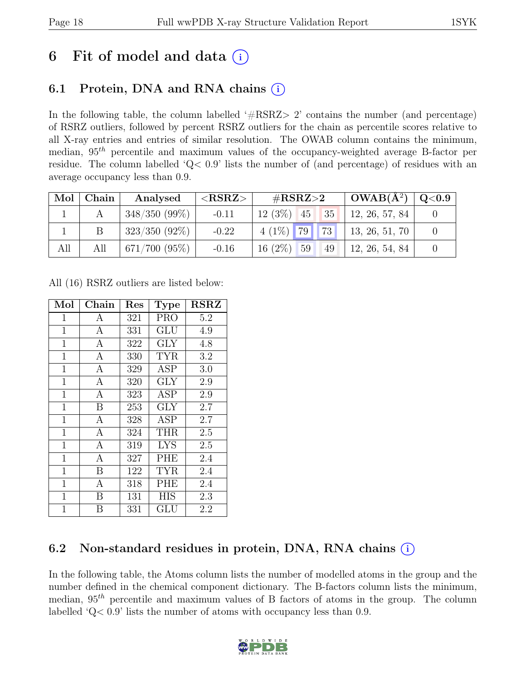## 6 Fit of model and data  $(i)$

## 6.1 Protein, DNA and RNA chains (i)

In the following table, the column labelled  $#RSRZ>2$  contains the number (and percentage) of RSRZ outliers, followed by percent RSRZ outliers for the chain as percentile scores relative to all X-ray entries and entries of similar resolution. The OWAB column contains the minimum, median,  $95<sup>th</sup>$  percentile and maximum values of the occupancy-weighted average B-factor per residue. The column labelled 'Q< 0.9' lists the number of (and percentage) of residues with an average occupancy less than 0.9.

| $\text{Mol}^+$ | Chain | Analysed           | ${ <\hspace{-1.5pt} {\rm RSRZ}\hspace{-1.5pt}>}$ | # $RSRZ>2$            | $\vert$ OWAB( $\rm{\AA}^2$ ) $\vert$ | $\rm Q\textcolor{black}{<}0.9$ |
|----------------|-------|--------------------|--------------------------------------------------|-----------------------|--------------------------------------|--------------------------------|
|                |       | $348/350(99\%)$    | $-0.11$                                          | $12(3\%)$ 45 35       | 12, 26, 57, 84                       |                                |
|                |       | $323/350(92\%)$    | $-0.22$                                          | $4(1\%)$ 79 73        | 13, 26, 51, 70                       |                                |
| All            | All   | $671/700$ $(95\%)$ | $-0.16$                                          | $16(2\%)$<br>59<br>49 | 12, 26, 54, 84                       |                                |

All (16) RSRZ outliers are listed below:

| Mol            | ${\rm Chain}$    | $\operatorname{Res}% \left( \mathcal{N}\right) \equiv\operatorname{Res}(\mathcal{N}_{0},\mathcal{N}_{0})$ | Type       | <b>RSRZ</b> |
|----------------|------------------|-----------------------------------------------------------------------------------------------------------|------------|-------------|
| $\mathbf{1}$   | Α                | 321                                                                                                       | <b>PRO</b> | 5.2         |
| $\mathbf 1$    | $\mathbf{A}$     | 331                                                                                                       | GLU        | 4.9         |
| $\mathbf{1}$   | $\boldsymbol{A}$ | 322                                                                                                       | <b>GLY</b> | 4.8         |
| $\mathbf{1}$   | $\mathbf{A}$     | 330                                                                                                       | <b>TYR</b> | 3.2         |
| $\mathbf{1}$   | $\boldsymbol{A}$ | 329                                                                                                       | <b>ASP</b> | 3.0         |
| $\mathbf{1}$   | $\boldsymbol{A}$ | 320                                                                                                       | GLY        | 2.9         |
| $\mathbf 1$    | $\mathbf{A}$     | 323                                                                                                       | ASP        | 2.9         |
| $\mathbf{1}$   | B                | 253                                                                                                       | <b>GLY</b> | 2.7         |
| $\mathbf{1}$   | $\overline{A}$   | 328                                                                                                       | ASP        | 2.7         |
| $\mathbf{1}$   | $\boldsymbol{A}$ | 324                                                                                                       | <b>THR</b> | $2.5\,$     |
| $\mathbf{1}$   | $\mathbf{A}$     | 319                                                                                                       | <b>LYS</b> | 2.5         |
| $\mathbf 1$    | A                | 327                                                                                                       | PHE        | 2.4         |
| $\mathbf{1}$   | B                | 122                                                                                                       | TYR        | 2.4         |
| $\mathbf{1}$   | $\overline{A}$   | 318                                                                                                       | PHE        | 2.4         |
| $\mathbf{1}$   | B                | 131                                                                                                       | <b>HIS</b> | 2.3         |
| $\overline{1}$ | B                | 331                                                                                                       | GLU        | 2.2         |

## 6.2 Non-standard residues in protein, DNA, RNA chains  $(i)$

In the following table, the Atoms column lists the number of modelled atoms in the group and the number defined in the chemical component dictionary. The B-factors column lists the minimum, median,  $95<sup>th</sup>$  percentile and maximum values of B factors of atoms in the group. The column labelled 'Q< 0.9' lists the number of atoms with occupancy less than 0.9.